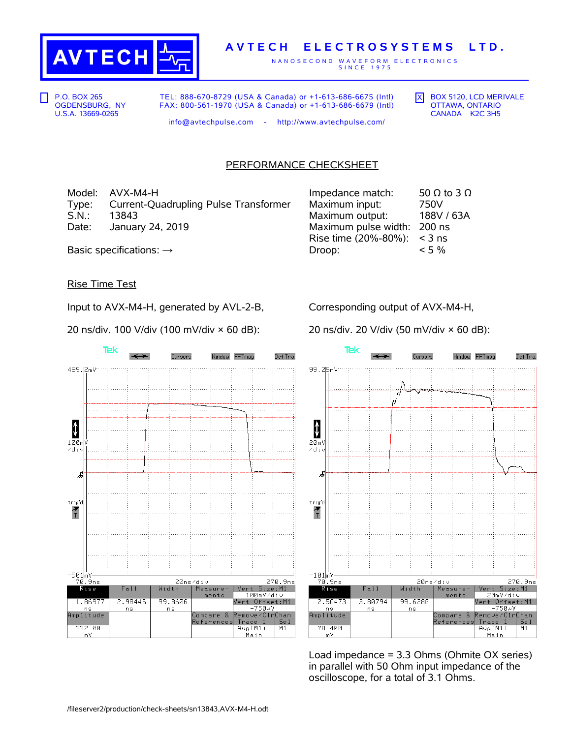

## **A V T E C H E L E C T R O S Y S T E M S L T D .**

N A N O S E C O N D W A V E F O R M E L E C T R O N I C S S I N C E 1 9 7 5

P.O. BOX 265 OGDENSBURG, NY U.S.A. 13669-0265

TEL: 888-670-8729 (USA & Canada) or +1-613-686-6675 (Intl) FAX: 800-561-1970 (USA & Canada) or +1-613-686-6679 (Intl)  $\overline{X}$  BOX 5120, LCD MERIVALE OTTAWA, ONTARIO CANADA K2C 3H5

info@avtechpulse.com - http://www.avtechpulse.com/

## PERFORMANCE CHECKSHEET

Model: AVX-M4-H Type: Current-Quadrupling Pulse Transformer<br>S.N.: 13843 S.N.: 13843 Maximum output: 188V / 63A Date: January 24, 2019

| Impedance match:     | 50 $\Omega$ to 3 $\Omega$ |
|----------------------|---------------------------|
| Maximum input:       | 750V                      |
| Maximum output:      | 188V / 63A                |
| Maximum pulse width: | 200 ns                    |
| Rise time (20%-80%): | $<$ 3 ns                  |
| Droop:               | $< 5\%$                   |
|                      |                           |

Basic specifications:  $\rightarrow$ 

## Rise Time Test

Input to AVX-M4-H, generated by AVL-2-B,

20 ns/div. 100 V/div (100 mV/div × 60 dB):

Tek Cursors Window FFTmag Def Tra 499.2mV  $\pmb{\downarrow}$  $100<sub>m</sub>$ ∠diu ょ trig'd  $\frac{1}{T}$ -501<mark>mV-</mark> 270.9ns 70.9ns 20ns/div  $R$ ise Width Vert Size:M1  $Fall$ Measure 100mV/div  $m$ ents Vert Offset:M1 2.98446 1.86977 99.3606  $750uV$ ns n s ...<br>Amplitude Compare &<br>References emove/ClrChan  $Trace 1$ <br> $Avg(M1)$ Se 1 332.00  $\overline{M1}$ <u>Main</u>  $mV$ 

Corresponding output of AVX-M4-H,

20 ns/div. 20 V/div (50 mV/div × 60 dB):



Load impedance = 3.3 Ohms (Ohmite OX series) in parallel with 50 Ohm input impedance of the oscilloscope, for a total of 3.1 Ohms.